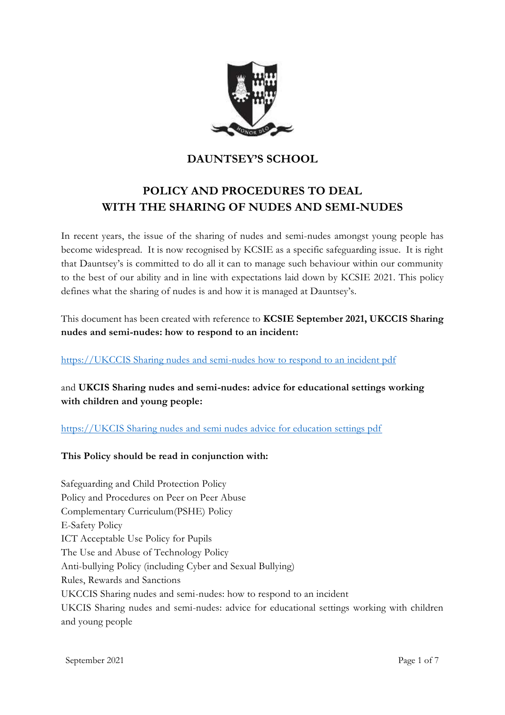

# **DAUNTSEY'S SCHOOL**

# **POLICY AND PROCEDURES TO DEAL WITH THE SHARING OF NUDES AND SEMI-NUDES**

In recent years, the issue of the sharing of nudes and semi-nudes amongst young people has become widespread. It is now recognised by KCSIE as a specific safeguarding issue. It is right that Dauntsey's is committed to do all it can to manage such behaviour within our community to the best of our ability and in line with expectations laid down by KCSIE 2021. This policy defines what the sharing of nudes is and how it is managed at Dauntsey's.

This document has been created with reference to **KCSIE September 2021, UKCCIS Sharing nudes and semi-nudes: how to respond to an incident:**

[https://UKCCIS Sharing nudes and semi-nudes how to respond to an incident pdf](https://assets.publishing.service.gov.uk/government/uploads/system/uploads/attachment_data/file/947546/Sharing_nudes_and_semi_nudes_how_to_respond_to_an_incident_Summary_V2.pdf)

and **UKCIS Sharing nudes and semi-nudes: advice for educational settings working with children and young people:**

[https://UKCIS Sharing nudes and semi nudes advice for education settings pdf](https://assets.publishing.service.gov.uk/government/uploads/system/uploads/attachment_data/file/1008443/UKCIS_sharing_nudes_and_semi_nudes_advice_for_education_settings__Web_accessible_.pdf)

## **This Policy should be read in conjunction with:**

Safeguarding and Child Protection Policy Policy and Procedures on Peer on Peer Abuse Complementary Curriculum(PSHE) Policy E-Safety Policy ICT Acceptable Use Policy for Pupils The Use and Abuse of Technology Policy Anti-bullying Policy (including Cyber and Sexual Bullying) Rules, Rewards and Sanctions UKCCIS Sharing nudes and semi-nudes: how to respond to an incident UKCIS Sharing nudes and semi-nudes: advice for educational settings working with children and young people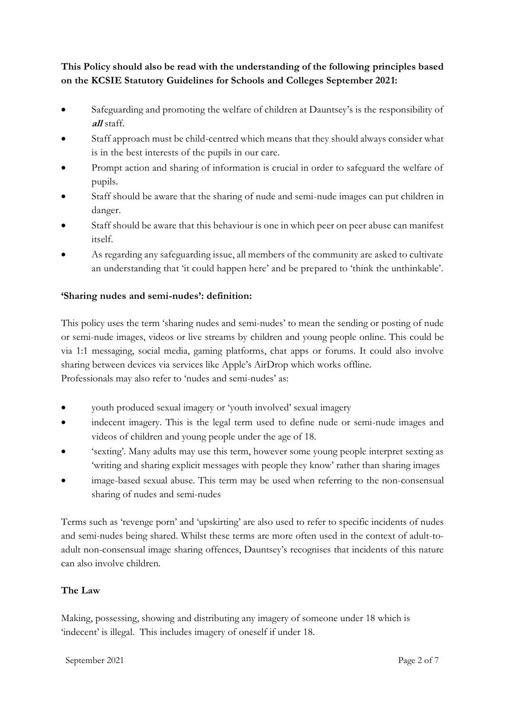**This Policy should also be read with the understanding of the following principles based on the KCSIE Statutory Guidelines for Schools and Colleges September 2021:**

- Safeguarding and promoting the welfare of children at Dauntsey's is the responsibility of **all** staff.
- Staff approach must be child-centred which means that they should always consider what is in the best interests of the pupils in our care.
- Prompt action and sharing of information is crucial in order to safeguard the welfare of pupils.
- Staff should be aware that the sharing of nude and semi-nude images can put children in danger.
- Staff should be aware that this behaviour is one in which peer on peer abuse can manifest itself.
- As regarding any safeguarding issue, all members of the community are asked to cultivate an understanding that 'it could happen here' and be prepared to 'think the unthinkable'.

# **'Sharing nudes and semi-nudes': definition:**

This policy uses the term 'sharing nudes and semi-nudes' to mean the sending or posting of nude or semi-nude images, videos or live streams by children and young people online. This could be via 1:1 messaging, social media, gaming platforms, chat apps or forums. It could also involve sharing between devices via services like Apple's AirDrop which works offline. Professionals may also refer to 'nudes and semi-nudes' as:

- youth produced sexual imagery or 'youth involved' sexual imagery
- indecent imagery. This is the legal term used to define nude or semi-nude images and videos of children and young people under the age of 18.
- 'sexting'. Many adults may use this term, however some young people interpret sexting as 'writing and sharing explicit messages with people they know' rather than sharing images
- image-based sexual abuse. This term may be used when referring to the non-consensual sharing of nudes and semi-nudes

Terms such as 'revenge porn' and 'upskirting' are also used to refer to specific incidents of nudes and semi-nudes being shared. Whilst these terms are more often used in the context of adult-toadult non-consensual image sharing offences, Dauntsey's recognises that incidents of this nature can also involve children.

## **The Law**

Making, possessing, showing and distributing any imagery of someone under 18 which is 'indecent' is illegal. This includes imagery of oneself if under 18.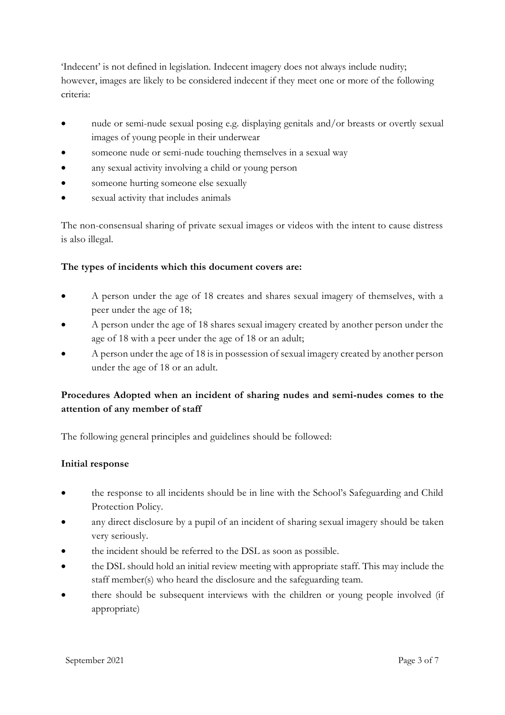'Indecent' is not defined in legislation. Indecent imagery does not always include nudity; however, images are likely to be considered indecent if they meet one or more of the following criteria:

- nude or semi-nude sexual posing e.g. displaying genitals and/or breasts or overtly sexual images of young people in their underwear
- someone nude or semi-nude touching themselves in a sexual way
- any sexual activity involving a child or young person
- someone hurting someone else sexually
- sexual activity that includes animals

The non-consensual sharing of private sexual images or videos with the intent to cause distress is also illegal.

## **The types of incidents which this document covers are:**

- A person under the age of 18 creates and shares sexual imagery of themselves, with a peer under the age of 18;
- A person under the age of 18 shares sexual imagery created by another person under the age of 18 with a peer under the age of 18 or an adult;
- A person under the age of 18 is in possession of sexual imagery created by another person under the age of 18 or an adult.

# **Procedures Adopted when an incident of sharing nudes and semi-nudes comes to the attention of any member of staff**

The following general principles and guidelines should be followed:

#### **Initial response**

- the response to all incidents should be in line with the School's Safeguarding and Child Protection Policy.
- any direct disclosure by a pupil of an incident of sharing sexual imagery should be taken very seriously.
- the incident should be referred to the DSL as soon as possible.
- the DSL should hold an initial review meeting with appropriate staff. This may include the staff member(s) who heard the disclosure and the safeguarding team.
- there should be subsequent interviews with the children or young people involved (if appropriate)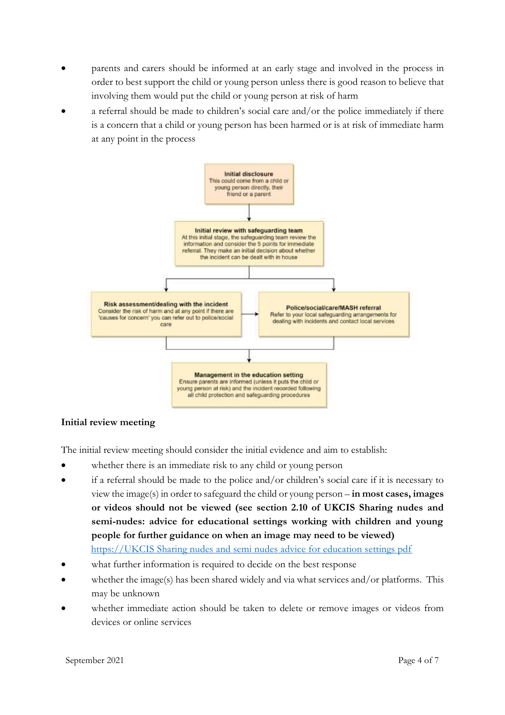- parents and carers should be informed at an early stage and involved in the process in order to best support the child or young person unless there is good reason to believe that involving them would put the child or young person at risk of harm
- a referral should be made to children's social care and/or the police immediately if there is a concern that a child or young person has been harmed or is at risk of immediate harm at any point in the process



#### **Initial review meeting**

The initial review meeting should consider the initial evidence and aim to establish:

- whether there is an immediate risk to any child or young person
- if a referral should be made to the police and/or children's social care if it is necessary to view the image(s) in order to safeguard the child or young person – **in most cases, images or videos should not be viewed (see section 2.10 of UKCIS Sharing nudes and semi-nudes: advice for educational settings working with children and young people for further guidance on when an image may need to be viewed)** [https://UKCIS Sharing nudes and semi nudes advice for education settings pdf](https://assets.publishing.service.gov.uk/government/uploads/system/uploads/attachment_data/file/1008443/UKCIS_sharing_nudes_and_semi_nudes_advice_for_education_settings__Web_accessible_.pdf)
- what further information is required to decide on the best response
- whether the image(s) has been shared widely and via what services and/or platforms. This may be unknown
- whether immediate action should be taken to delete or remove images or videos from devices or online services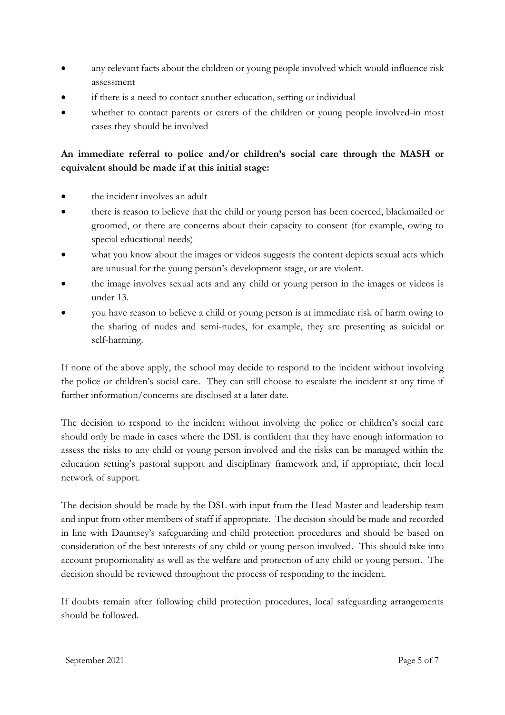- any relevant facts about the children or young people involved which would influence risk assessment
- if there is a need to contact another education, setting or individual
- whether to contact parents or carers of the children or young people involved-in most cases they should be involved

# **An immediate referral to police and/or children's social care through the MASH or equivalent should be made if at this initial stage:**

- the incident involves an adult
- there is reason to believe that the child or young person has been coerced, blackmailed or groomed, or there are concerns about their capacity to consent (for example, owing to special educational needs)
- what you know about the images or videos suggests the content depicts sexual acts which are unusual for the young person's development stage, or are violent.
- the image involves sexual acts and any child or young person in the images or videos is under 13.
- you have reason to believe a child or young person is at immediate risk of harm owing to the sharing of nudes and semi-nudes, for example, they are presenting as suicidal or self-harming.

If none of the above apply, the school may decide to respond to the incident without involving the police or children's social care. They can still choose to escalate the incident at any time if further information/concerns are disclosed at a later date.

The decision to respond to the incident without involving the police or children's social care should only be made in cases where the DSL is confident that they have enough information to assess the risks to any child or young person involved and the risks can be managed within the education setting's pastoral support and disciplinary framework and, if appropriate, their local network of support.

The decision should be made by the DSL with input from the Head Master and leadership team and input from other members of staff if appropriate. The decision should be made and recorded in line with Dauntsey's safeguarding and child protection procedures and should be based on consideration of the best interests of any child or young person involved. This should take into account proportionality as well as the welfare and protection of any child or young person. The decision should be reviewed throughout the process of responding to the incident.

If doubts remain after following child protection procedures, local safeguarding arrangements should be followed.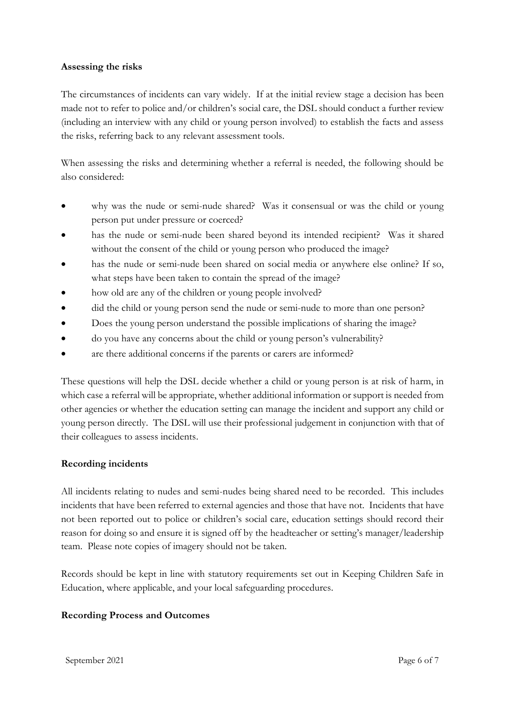#### **Assessing the risks**

The circumstances of incidents can vary widely. If at the initial review stage a decision has been made not to refer to police and/or children's social care, the DSL should conduct a further review (including an interview with any child or young person involved) to establish the facts and assess the risks, referring back to any relevant assessment tools.

When assessing the risks and determining whether a referral is needed, the following should be also considered:

- why was the nude or semi-nude shared? Was it consensual or was the child or young person put under pressure or coerced?
- has the nude or semi-nude been shared beyond its intended recipient? Was it shared without the consent of the child or young person who produced the image?
- has the nude or semi-nude been shared on social media or anywhere else online? If so, what steps have been taken to contain the spread of the image?
- how old are any of the children or young people involved?
- did the child or young person send the nude or semi-nude to more than one person?
- Does the young person understand the possible implications of sharing the image?
- do you have any concerns about the child or young person's vulnerability?
- are there additional concerns if the parents or carers are informed?

These questions will help the DSL decide whether a child or young person is at risk of harm, in which case a referral will be appropriate, whether additional information or support is needed from other agencies or whether the education setting can manage the incident and support any child or young person directly. The DSL will use their professional judgement in conjunction with that of their colleagues to assess incidents.

#### **Recording incidents**

All incidents relating to nudes and semi-nudes being shared need to be recorded. This includes incidents that have been referred to external agencies and those that have not. Incidents that have not been reported out to police or children's social care, education settings should record their reason for doing so and ensure it is signed off by the headteacher or setting's manager/leadership team. Please note copies of imagery should not be taken.

Records should be kept in line with statutory requirements set out in Keeping Children Safe in Education, where applicable, and your local safeguarding procedures.

#### **Recording Process and Outcomes**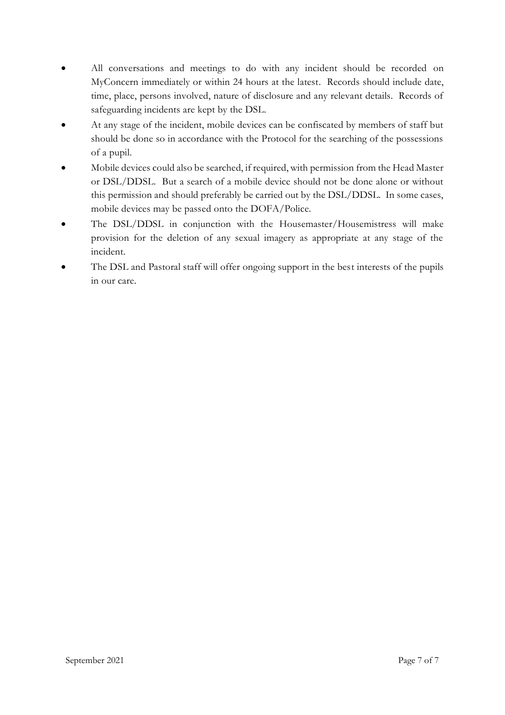- All conversations and meetings to do with any incident should be recorded on MyConcern immediately or within 24 hours at the latest. Records should include date, time, place, persons involved, nature of disclosure and any relevant details. Records of safeguarding incidents are kept by the DSL.
- At any stage of the incident, mobile devices can be confiscated by members of staff but should be done so in accordance with the Protocol for the searching of the possessions of a pupil.
- Mobile devices could also be searched, if required, with permission from the Head Master or DSL/DDSL. But a search of a mobile device should not be done alone or without this permission and should preferably be carried out by the DSL/DDSL. In some cases, mobile devices may be passed onto the DOFA/Police.
- The DSL/DDSL in conjunction with the Housemaster/Housemistress will make provision for the deletion of any sexual imagery as appropriate at any stage of the incident.
- The DSL and Pastoral staff will offer ongoing support in the best interests of the pupils in our care.